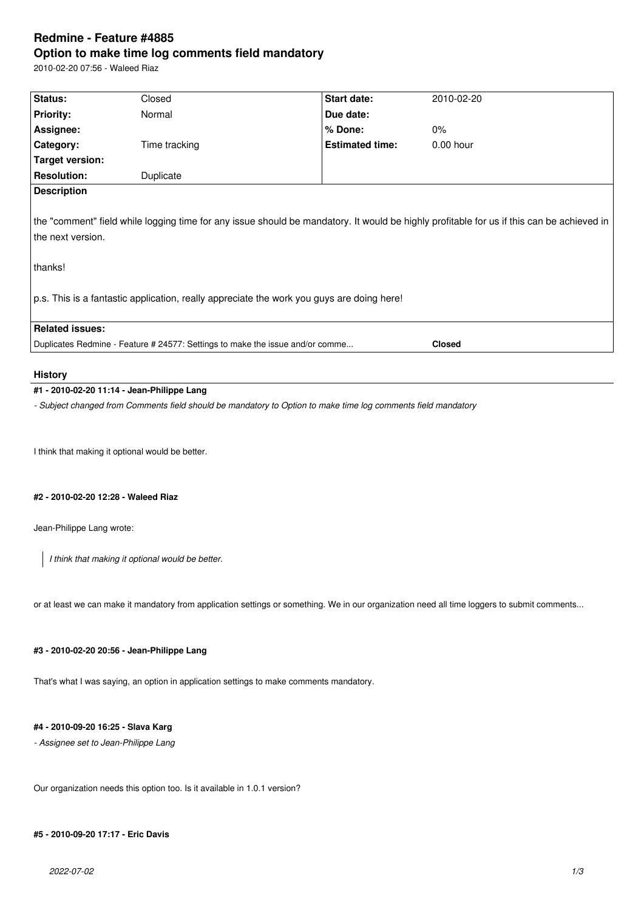# **Redmine - Feature #4885 Option to make time log comments field mandatory**

2010-02-20 07:56 - Waleed Riaz

| Status:                                                                                                                                                                              | Closed        | Start date:                                                                               | 2010-02-20  |
|--------------------------------------------------------------------------------------------------------------------------------------------------------------------------------------|---------------|-------------------------------------------------------------------------------------------|-------------|
| <b>Priority:</b>                                                                                                                                                                     | Normal        | Due date:                                                                                 |             |
| Assignee:                                                                                                                                                                            |               | $%$ Done:                                                                                 | $0\%$       |
| Category:                                                                                                                                                                            | Time tracking | <b>Estimated time:</b>                                                                    | $0.00$ hour |
| Target version:                                                                                                                                                                      |               |                                                                                           |             |
| <b>Resolution:</b>                                                                                                                                                                   | Duplicate     |                                                                                           |             |
| <b>Description</b><br>the "comment" field while logging time for any issue should be mandatory. It would be highly profitable for us if this can be achieved in<br>the next version. |               |                                                                                           |             |
|                                                                                                                                                                                      |               |                                                                                           |             |
| thanks!                                                                                                                                                                              |               |                                                                                           |             |
|                                                                                                                                                                                      |               | p.s. This is a fantastic application, really appreciate the work you guys are doing here! |             |
| <b>Related issues:</b>                                                                                                                                                               |               |                                                                                           |             |

## **History**

## **#1 - 2010-02-20 11:14 - Jean-Philippe Lang**

*- Subject changed from Comments field should be mandatory to Option to make time log comments field mandatory*

I think that making it optional would be better.

## **#2 - 2010-02-20 12:28 - Waleed Riaz**

Jean-Philippe Lang wrote:

*I think that making it optional would be better.*

or at least we can make it mandatory from application settings or something. We in our organization need all time loggers to submit comments...

## **#3 - 2010-02-20 20:56 - Jean-Philippe Lang**

That's what I was saying, an option in application settings to make comments mandatory.

## **#4 - 2010-09-20 16:25 - Slava Karg**

*- Assignee set to Jean-Philippe Lang*

Our organization needs this option too. Is it available in 1.0.1 version?

## **#5 - 2010-09-20 17:17 - Eric Davis**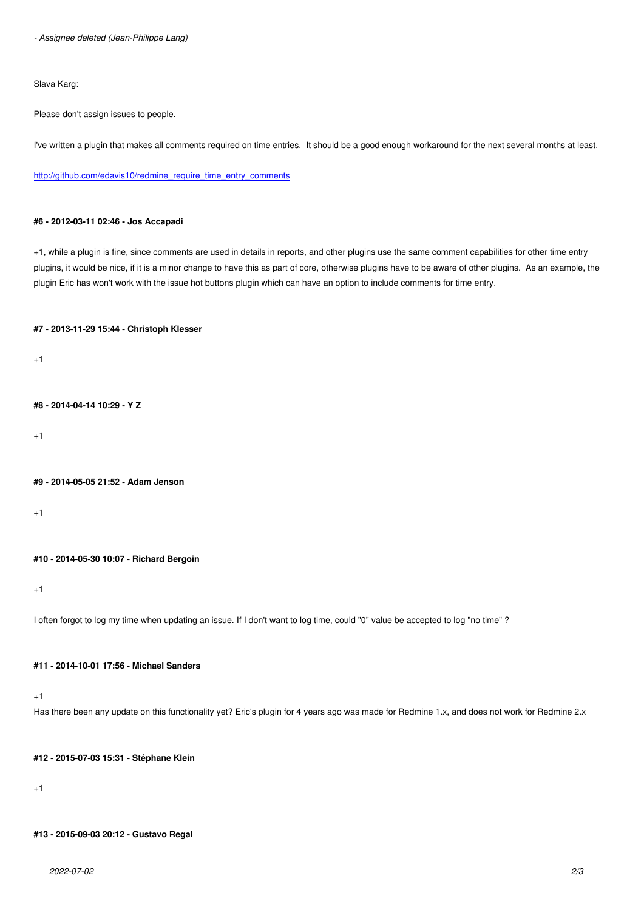Slava Karg:

Please don't assign issues to people.

I've written a plugin that makes all comments required on time entries. It should be a good enough workaround for the next several months at least.

http://github.com/edavis10/redmine\_require\_time\_entry\_comments

#### **[#6 - 2012-03-11 02:46 - Jos Accapadi](http://github.com/edavis10/redmine_require_time_entry_comments)**

+1, while a plugin is fine, since comments are used in details in reports, and other plugins use the same comment capabilities for other time entry plugins, it would be nice, if it is a minor change to have this as part of core, otherwise plugins have to be aware of other plugins. As an example, the plugin Eric has won't work with the issue hot buttons plugin which can have an option to include comments for time entry.

### **#7 - 2013-11-29 15:44 - Christoph Klesser**

 $+1$ 

**#8 - 2014-04-14 10:29 - Y Z**

+1

#### **#9 - 2014-05-05 21:52 - Adam Jenson**

+1

### **#10 - 2014-05-30 10:07 - Richard Bergoin**

+1

I often forgot to log my time when updating an issue. If I don't want to log time, could "0" value be accepted to log "no time" ?

## **#11 - 2014-10-01 17:56 - Michael Sanders**

+1

Has there been any update on this functionality yet? Eric's plugin for 4 years ago was made for Redmine 1.x, and does not work for Redmine 2.x

#### **#12 - 2015-07-03 15:31 - Stéphane Klein**

+1

#### **#13 - 2015-09-03 20:12 - Gustavo Regal**

*2022-07-02 2/3*